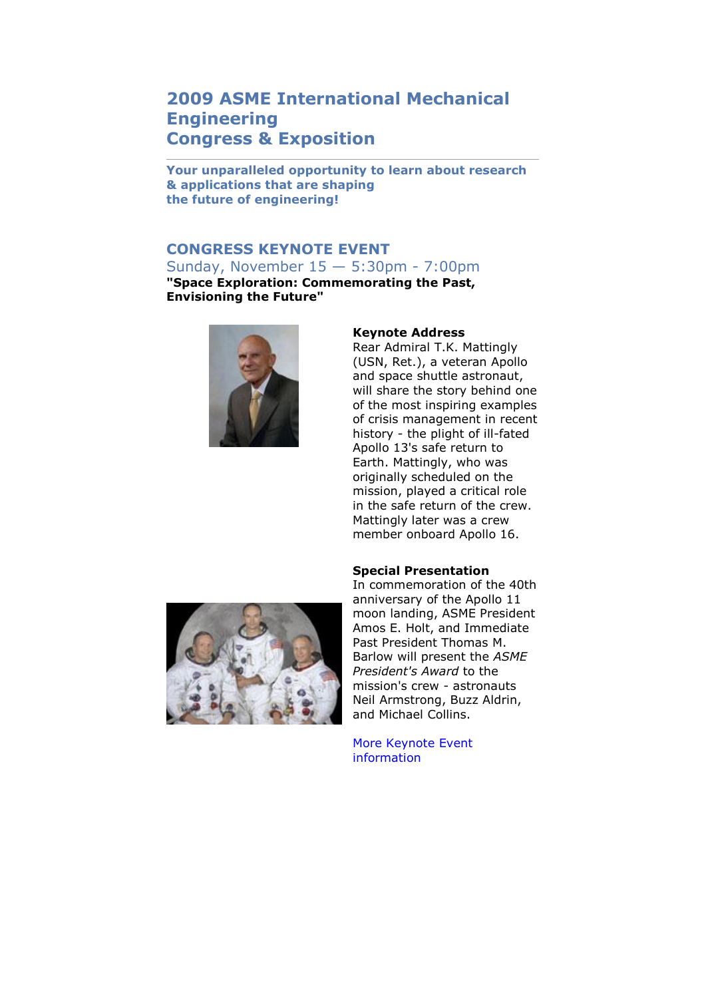## **2009 ASME International Mechanical Engineering Congress & Exposition**

**Your unparalleled opportunity to learn about research & applications that are shaping the future of engineering!** 

## **CONGRESS KEYNOTE EVENT**

Sunday, November 15 — 5:30pm - 7:00pm **"Space Exploration: Commemorating the Past, Envisioning the Future"**



## **Keynote Address**

Rear Admiral T.K. Mattingly (USN, Ret.), a veteran Apollo and space shuttle astronaut, will share the story behind one of the most inspiring examples of crisis management in recent history - the plight of ill-fated Apollo 13's safe return to Earth. Mattingly, who was originally scheduled on the mission, played a critical role in the safe return of the crew. Mattingly later was a crew member onboard Apollo 16.

## **Special Presentation**



In commemoration of the 40th anniversary of the Apollo 11 moon landing, ASME President Amos E. Holt, and Immediate Past President Thomas M. Barlow will present the *ASME President's Award* to the mission's crew - astronauts Neil Armstrong, Buzz Aldrin, and Michael Collins.

[More Keynote Event](http://www.asmeconferences.org/Congress09/Keynote.cfm)  [information](http://www.asmeconferences.org/Congress09/Keynote.cfm)